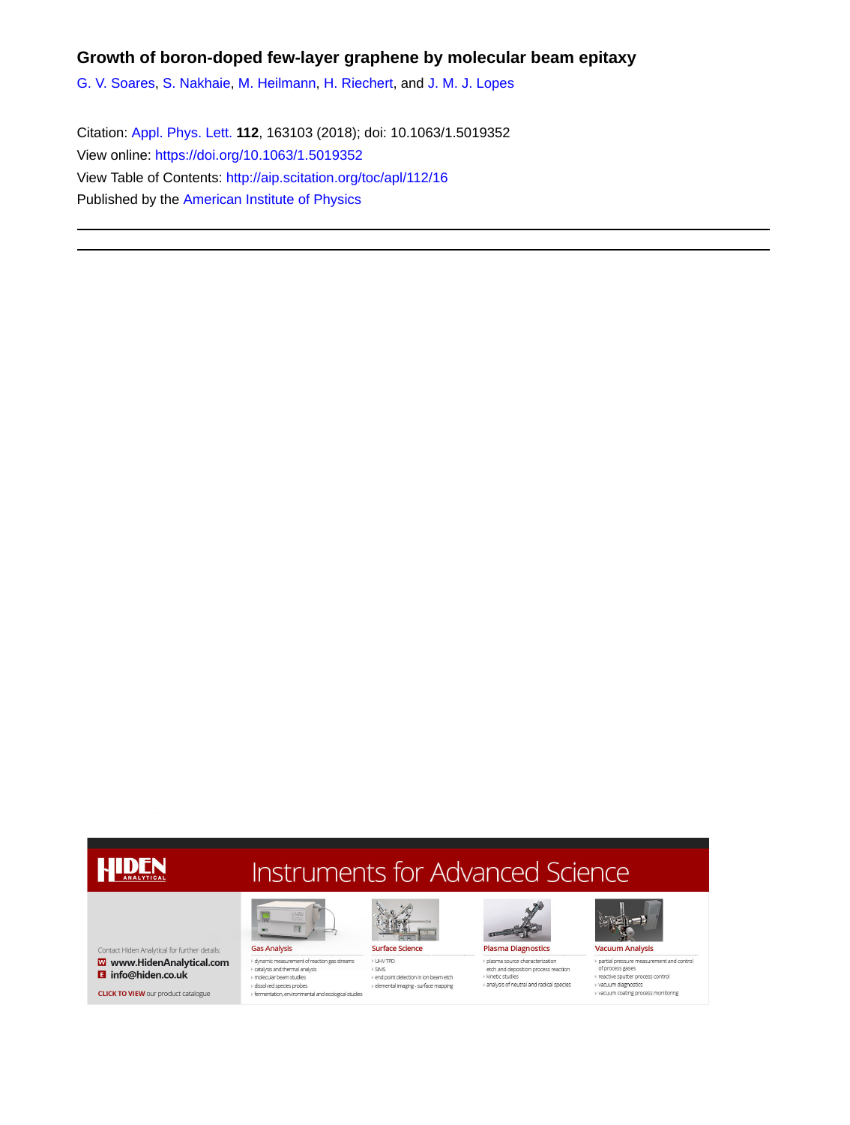## **Growth of boron-doped few-layer graphene by molecular beam epitaxy**

[G. V. Soares,](http://aip.scitation.org/author/Soares%2C+G+V) [S. Nakhaie](http://aip.scitation.org/author/Nakhaie%2C+S), [M. Heilmann,](http://aip.scitation.org/author/Heilmann%2C+M) [H. Riechert](http://aip.scitation.org/author/Riechert%2C+H), and [J. M. J. Lopes](http://aip.scitation.org/author/Lopes%2C+J+M+J)

Citation: [Appl. Phys. Lett.](/loi/apl) **112**, 163103 (2018); doi: 10.1063/1.5019352 View online: <https://doi.org/10.1063/1.5019352> View Table of Contents: <http://aip.scitation.org/toc/apl/112/16> Published by the [American Institute of Physics](http://aip.scitation.org/publisher/)

## HIDEN

Contact Hiden Analytical for further details:  $\overline{\mathbf{w}}$  www.HidenAnalytical.com **El** info@hiden.co.uk

**CLICK TO VIEW** our product catalogue

## Instruments for Advanced Science

**Gas Analysis** dynamic measurement of reaction gas streams catalysis and thermal analysis molecular beam studies , motecalar beamsteader<br>→ dissolved species probes<br>→ fermentation, environmental and ecological studies

**IR** 



I UHVTPD

 $\triangleright$  SIMS

end point detection in ion beam etch  $\rightarrow$  elemental imaging - surface mapping



> plasma source characterization etch and deposition process reaction » kinetic studies and visit of neutral and radical species



> partial pressure measurement and control of process gases > reactive sputter process control<br>> reactive sputter process control<br>> vacuum coating process monitoring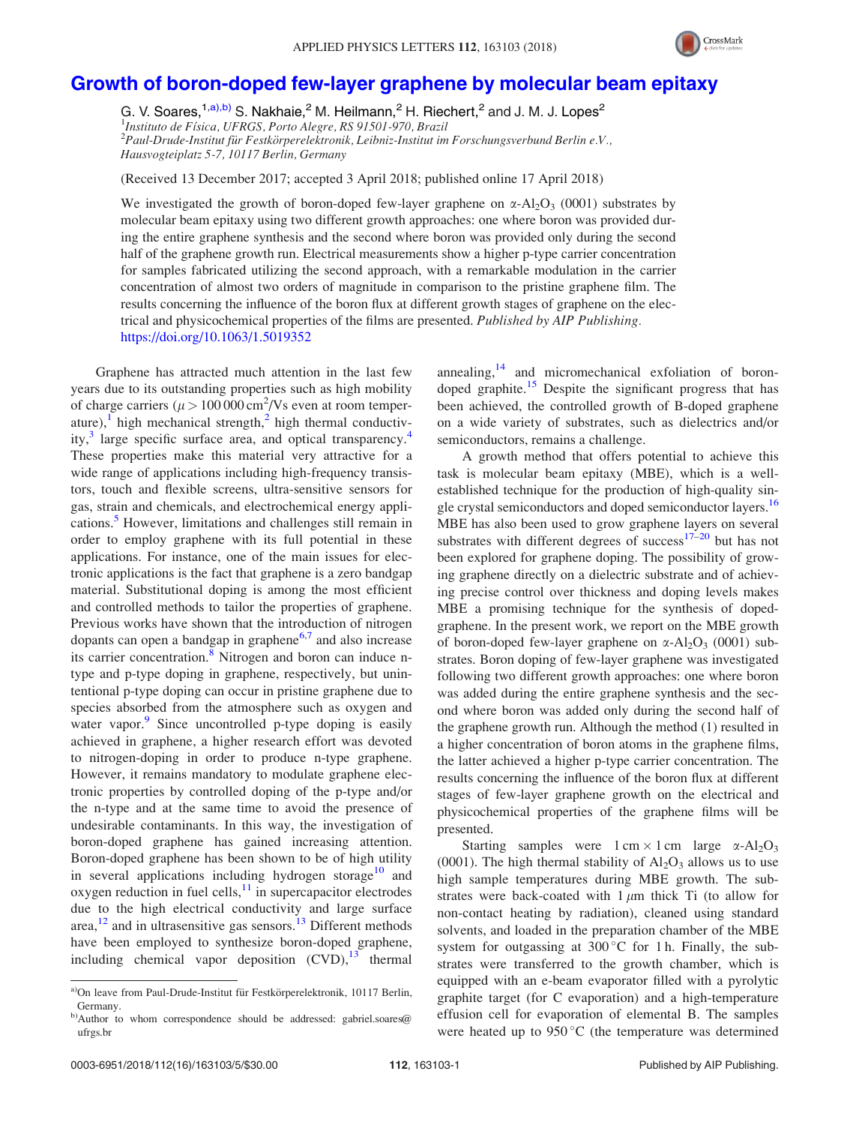

## [Growth of boron-doped few-layer graphene by molecular beam epitaxy](https://doi.org/10.1063/1.5019352)

G. V. Soares,<sup>1,a),b)</sup> S. Nakhaie,<sup>2</sup> M. Heilmann,<sup>2</sup> H. Riechert,<sup>2</sup> and J. M. J. Lopes<sup>2</sup> <sup>1</sup>Instituto de Física, UFRGS, Porto Alegre, RS 91501-970, Brazil<br><sup>2</sup>Paul Drude Institut für Eestkörperelektronik Leibniz Institut im  $^{2}$ Paul-Drude-Institut für Festkörperelektronik, Leibniz-Institut im Forschungsverbund Berlin e.V., Hausvogteiplatz 5-7, 10117 Berlin, Germany

(Received 13 December 2017; accepted 3 April 2018; published online 17 April 2018)

We investigated the growth of boron-doped few-layer graphene on  $\alpha$ -Al<sub>2</sub>O<sub>3</sub> (0001) substrates by molecular beam epitaxy using two different growth approaches: one where boron was provided during the entire graphene synthesis and the second where boron was provided only during the second half of the graphene growth run. Electrical measurements show a higher p-type carrier concentration for samples fabricated utilizing the second approach, with a remarkable modulation in the carrier concentration of almost two orders of magnitude in comparison to the pristine graphene film. The results concerning the influence of the boron flux at different growth stages of graphene on the electrical and physicochemical properties of the films are presented. Published by AIP Publishing. <https://doi.org/10.1063/1.5019352>

Graphene has attracted much attention in the last few years due to its outstanding properties such as high mobility of charge carriers ( $\mu$  > 100 000 cm<sup>2</sup>/Vs even at room temper-ature),<sup>[1](#page-4-0)</sup> high mechanical strength, $\frac{2}{\pi}$  $\frac{2}{\pi}$  $\frac{2}{\pi}$  high thermal conductivity, $3$  large specific surface area, and optical transparency.<sup>[4](#page-4-0)</sup> These properties make this material very attractive for a wide range of applications including high-frequency transistors, touch and flexible screens, ultra-sensitive sensors for gas, strain and chemicals, and electrochemical energy appli-cations.<sup>[5](#page-4-0)</sup> However, limitations and challenges still remain in order to employ graphene with its full potential in these applications. For instance, one of the main issues for electronic applications is the fact that graphene is a zero bandgap material. Substitutional doping is among the most efficient and controlled methods to tailor the properties of graphene. Previous works have shown that the introduction of nitrogen dopants can open a bandgap in graphene $6,7$  and also increase its carrier concentration.<sup>[8](#page-5-0)</sup> Nitrogen and boron can induce ntype and p-type doping in graphene, respectively, but unintentional p-type doping can occur in pristine graphene due to species absorbed from the atmosphere such as oxygen and water vapor.<sup>[9](#page-5-0)</sup> Since uncontrolled p-type doping is easily achieved in graphene, a higher research effort was devoted to nitrogen-doping in order to produce n-type graphene. However, it remains mandatory to modulate graphene electronic properties by controlled doping of the p-type and/or the n-type and at the same time to avoid the presence of undesirable contaminants. In this way, the investigation of boron-doped graphene has gained increasing attention. Boron-doped graphene has been shown to be of high utility in several applications including hydrogen storage<sup>[10](#page-5-0)</sup> and  $oxygen reduction in fuel cells, <sup>11</sup> in supercapacitor electrodes$  $oxygen reduction in fuel cells, <sup>11</sup> in supercapacitor electrodes$  $oxygen reduction in fuel cells, <sup>11</sup> in supercapacitor electrodes$ due to the high electrical conductivity and large surface area, $^{12}$  $^{12}$  $^{12}$  and in ultrasensitive gas sensors.<sup>[13](#page-5-0)</sup> Different methods have been employed to synthesize boron-doped graphene, including chemical vapor deposition  $(CVD)$ , $^{13}$  thermal

annealing, $14$  and micromechanical exfoliation of boron-doped graphite.<sup>[15](#page-5-0)</sup> Despite the significant progress that has been achieved, the controlled growth of B-doped graphene on a wide variety of substrates, such as dielectrics and/or semiconductors, remains a challenge.

A growth method that offers potential to achieve this task is molecular beam epitaxy (MBE), which is a wellestablished technique for the production of high-quality sin-gle crystal semiconductors and doped semiconductor layers.<sup>[16](#page-5-0)</sup> MBE has also been used to grow graphene layers on several substrates with different degrees of success $17-20$  $17-20$  $17-20$  but has not been explored for graphene doping. The possibility of growing graphene directly on a dielectric substrate and of achieving precise control over thickness and doping levels makes MBE a promising technique for the synthesis of dopedgraphene. In the present work, we report on the MBE growth of boron-doped few-layer graphene on  $\alpha$ -Al<sub>2</sub>O<sub>3</sub> (0001) substrates. Boron doping of few-layer graphene was investigated following two different growth approaches: one where boron was added during the entire graphene synthesis and the second where boron was added only during the second half of the graphene growth run. Although the method (1) resulted in a higher concentration of boron atoms in the graphene films, the latter achieved a higher p-type carrier concentration. The results concerning the influence of the boron flux at different stages of few-layer graphene growth on the electrical and physicochemical properties of the graphene films will be presented.

Starting samples were  $1 \text{ cm} \times 1 \text{ cm}$  large  $\alpha$ -Al<sub>2</sub>O<sub>3</sub> (0001). The high thermal stability of  $Al_2O_3$  allows us to use high sample temperatures during MBE growth. The substrates were back-coated with  $1 \mu m$  thick Ti (to allow for non-contact heating by radiation), cleaned using standard solvents, and loaded in the preparation chamber of the MBE system for outgassing at  $300^{\circ}$ C for 1 h. Finally, the substrates were transferred to the growth chamber, which is equipped with an e-beam evaporator filled with a pyrolytic graphite target (for C evaporation) and a high-temperature effusion cell for evaporation of elemental B. The samples were heated up to  $950\,^{\circ}\text{C}$  (the temperature was determined

a)On leave from Paul-Drude-Institut für Festkörperelektronik, 10117 Berlin, Germany.

b)Author to whom correspondence should be addressed: [gabriel.soares@](mailto:gabriel.soares@ufrgs.br) [ufrgs.br](mailto:gabriel.soares@ufrgs.br)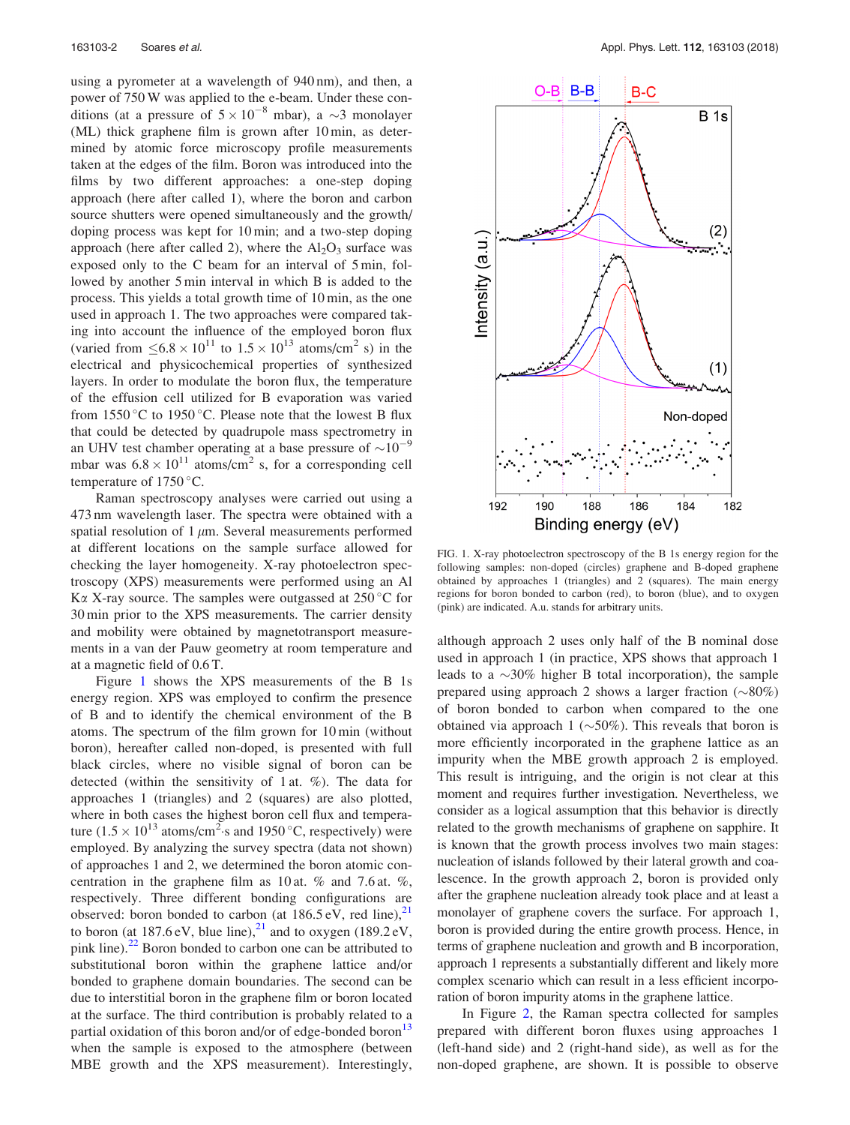<span id="page-2-0"></span>using a pyrometer at a wavelength of 940 nm), and then, a power of 750 W was applied to the e-beam. Under these conditions (at a pressure of  $5 \times 10^{-8}$  mbar), a  $\sim$ 3 monolayer (ML) thick graphene film is grown after 10 min, as determined by atomic force microscopy profile measurements taken at the edges of the film. Boron was introduced into the films by two different approaches: a one-step doping approach (here after called 1), where the boron and carbon source shutters were opened simultaneously and the growth/ doping process was kept for 10 min; and a two-step doping approach (here after called 2), where the  $Al_2O_3$  surface was exposed only to the C beam for an interval of 5 min, followed by another 5 min interval in which B is added to the process. This yields a total growth time of 10 min, as the one used in approach 1. The two approaches were compared taking into account the influence of the employed boron flux (varied from  $\leq 6.8 \times 10^{11}$  to  $1.5 \times 10^{13}$  atoms/cm<sup>2</sup> s) in the electrical and physicochemical properties of synthesized layers. In order to modulate the boron flux, the temperature of the effusion cell utilized for B evaporation was varied from  $1550^{\circ}$ C to  $1950^{\circ}$ C. Please note that the lowest B flux that could be detected by quadrupole mass spectrometry in an UHV test chamber operating at a base pressure of  $\sim 10^{-9}$ mbar was  $6.8 \times 10^{11}$  atoms/cm<sup>2</sup> s, for a corresponding cell temperature of  $1750^{\circ}$ C.

Raman spectroscopy analyses were carried out using a 473 nm wavelength laser. The spectra were obtained with a spatial resolution of  $1 \mu m$ . Several measurements performed at different locations on the sample surface allowed for checking the layer homogeneity. X-ray photoelectron spectroscopy (XPS) measurements were performed using an Al  $\text{K}\alpha$  X-ray source. The samples were outgassed at 250 °C for 30 min prior to the XPS measurements. The carrier density and mobility were obtained by magnetotransport measurements in a van der Pauw geometry at room temperature and at a magnetic field of 0.6 T.

Figure 1 shows the XPS measurements of the B 1s energy region. XPS was employed to confirm the presence of B and to identify the chemical environment of the B atoms. The spectrum of the film grown for 10 min (without boron), hereafter called non-doped, is presented with full black circles, where no visible signal of boron can be detected (within the sensitivity of 1 at. %). The data for approaches 1 (triangles) and 2 (squares) are also plotted, where in both cases the highest boron cell flux and temperature (1.5  $\times$  10<sup>13</sup> atoms/cm<sup>2</sup> s and 1950 °C, respectively) were employed. By analyzing the survey spectra (data not shown) of approaches 1 and 2, we determined the boron atomic concentration in the graphene film as 10 at. % and 7.6 at. %, respectively. Three different bonding configurations are observed: boron bonded to carbon (at  $186.5 \text{ eV}$ , red line),<sup>21</sup> to boron (at  $187.6 \text{ eV}$ , blue line),<sup>[21](#page-5-0)</sup> and to oxygen (189.2 eV, pink line). $22$  Boron bonded to carbon one can be attributed to substitutional boron within the graphene lattice and/or bonded to graphene domain boundaries. The second can be due to interstitial boron in the graphene film or boron located at the surface. The third contribution is probably related to a partial oxidation of this boron and/or of edge-bonded boron<sup>13</sup> when the sample is exposed to the atmosphere (between MBE growth and the XPS measurement). Interestingly,



FIG. 1. X-ray photoelectron spectroscopy of the B 1s energy region for the following samples: non-doped (circles) graphene and B-doped graphene obtained by approaches 1 (triangles) and 2 (squares). The main energy regions for boron bonded to carbon (red), to boron (blue), and to oxygen (pink) are indicated. A.u. stands for arbitrary units.

although approach 2 uses only half of the B nominal dose used in approach 1 (in practice, XPS shows that approach 1 leads to a  $\sim$ 30% higher B total incorporation), the sample prepared using approach 2 shows a larger fraction  $(\sim 80\%)$ of boron bonded to carbon when compared to the one obtained via approach 1 ( $\sim$ 50%). This reveals that boron is more efficiently incorporated in the graphene lattice as an impurity when the MBE growth approach 2 is employed. This result is intriguing, and the origin is not clear at this moment and requires further investigation. Nevertheless, we consider as a logical assumption that this behavior is directly related to the growth mechanisms of graphene on sapphire. It is known that the growth process involves two main stages: nucleation of islands followed by their lateral growth and coalescence. In the growth approach 2, boron is provided only after the graphene nucleation already took place and at least a monolayer of graphene covers the surface. For approach 1, boron is provided during the entire growth process. Hence, in terms of graphene nucleation and growth and B incorporation, approach 1 represents a substantially different and likely more complex scenario which can result in a less efficient incorporation of boron impurity atoms in the graphene lattice.

In Figure [2,](#page-3-0) the Raman spectra collected for samples prepared with different boron fluxes using approaches 1 (left-hand side) and 2 (right-hand side), as well as for the non-doped graphene, are shown. It is possible to observe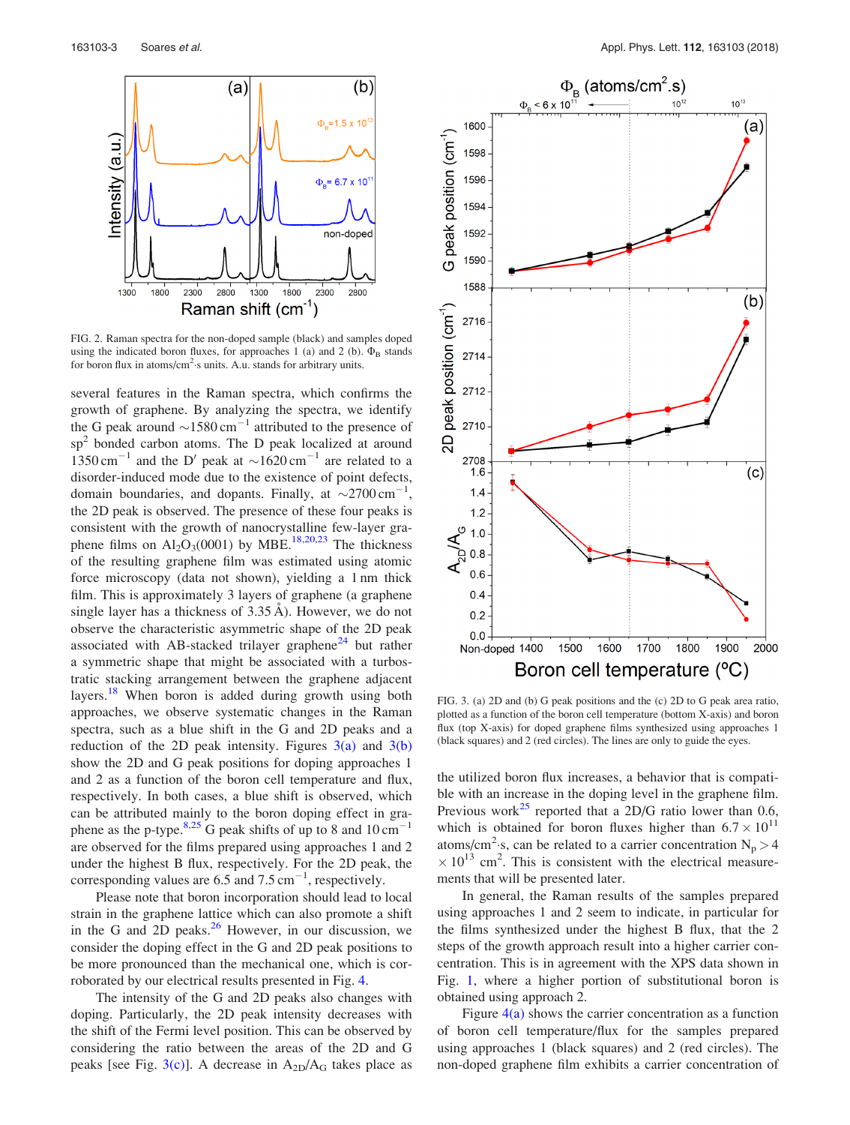<span id="page-3-0"></span>

FIG. 2. Raman spectra for the non-doped sample (black) and samples doped using the indicated boron fluxes, for approaches 1 (a) and 2 (b).  $\Phi_B$  stands for boron flux in atoms/ $\text{cm}^2$ ·s units. A.u. stands for arbitrary units.

several features in the Raman spectra, which confirms the growth of graphene. By analyzing the spectra, we identify the G peak around  $\sim$ 1580 cm<sup>-1</sup> attributed to the presence of sp<sup>2</sup> bonded carbon atoms. The D peak localized at around  $1350 \text{ cm}^{-1}$  and the D' peak at  $\sim 1620 \text{ cm}^{-1}$  are related to a disorder-induced mode due to the existence of point defects, domain boundaries, and dopants. Finally, at  $\sim$ 2700 cm<sup>-1</sup>, the 2D peak is observed. The presence of these four peaks is consistent with the growth of nanocrystalline few-layer graphene films on  $Al_2O_3(0001)$  by MBE.<sup>18,20,23</sup> The thickness of the resulting graphene film was estimated using atomic force microscopy (data not shown), yielding a 1 nm thick film. This is approximately 3 layers of graphene (a graphene single layer has a thickness of  $3.35 \text{ Å}$ ). However, we do not observe the characteristic asymmetric shape of the 2D peak associated with AB-stacked trilayer graphene $^{24}$  $^{24}$  $^{24}$  but rather a symmetric shape that might be associated with a turbostratic stacking arrangement between the graphene adjacent layers.<sup>[18](#page-5-0)</sup> When boron is added during growth using both approaches, we observe systematic changes in the Raman spectra, such as a blue shift in the G and 2D peaks and a reduction of the 2D peak intensity. Figures  $3(a)$  and  $3(b)$ show the 2D and G peak positions for doping approaches 1 and 2 as a function of the boron cell temperature and flux, respectively. In both cases, a blue shift is observed, which can be attributed mainly to the boron doping effect in gra-phene as the p-type.<sup>[8,25](#page-5-0)</sup> G peak shifts of up to 8 and  $10 \text{ cm}^{-1}$ are observed for the films prepared using approaches 1 and 2 under the highest B flux, respectively. For the 2D peak, the corresponding values are 6.5 and 7.5  $cm^{-1}$ , respectively.

Please note that boron incorporation should lead to local strain in the graphene lattice which can also promote a shift in the G and 2D peaks. $26$  However, in our discussion, we consider the doping effect in the G and 2D peak positions to be more pronounced than the mechanical one, which is corroborated by our electrical results presented in Fig. [4](#page-4-0).

The intensity of the G and 2D peaks also changes with doping. Particularly, the 2D peak intensity decreases with the shift of the Fermi level position. This can be observed by considering the ratio between the areas of the 2D and G peaks [see Fig.  $3(c)$ ]. A decrease in  $A_{2D}/A_G$  takes place as



FIG. 3. (a) 2D and (b) G peak positions and the (c) 2D to G peak area ratio, plotted as a function of the boron cell temperature (bottom X-axis) and boron flux (top X-axis) for doped graphene films synthesized using approaches 1 (black squares) and 2 (red circles). The lines are only to guide the eyes.

the utilized boron flux increases, a behavior that is compatible with an increase in the doping level in the graphene film. Previous work<sup>[25](#page-5-0)</sup> reported that a 2D/G ratio lower than 0.6, which is obtained for boron fluxes higher than  $6.7 \times 10^{11}$ atoms/cm<sup>2</sup>·s, can be related to a carrier concentration  $N_p > 4$  $\times$  10<sup>13</sup> cm<sup>2</sup>. This is consistent with the electrical measurements that will be presented later.

In general, the Raman results of the samples prepared using approaches 1 and 2 seem to indicate, in particular for the films synthesized under the highest B flux, that the 2 steps of the growth approach result into a higher carrier concentration. This is in agreement with the XPS data shown in Fig. [1](#page-2-0), where a higher portion of substitutional boron is obtained using approach 2.

Figure  $4(a)$  shows the carrier concentration as a function of boron cell temperature/flux for the samples prepared using approaches 1 (black squares) and 2 (red circles). The non-doped graphene film exhibits a carrier concentration of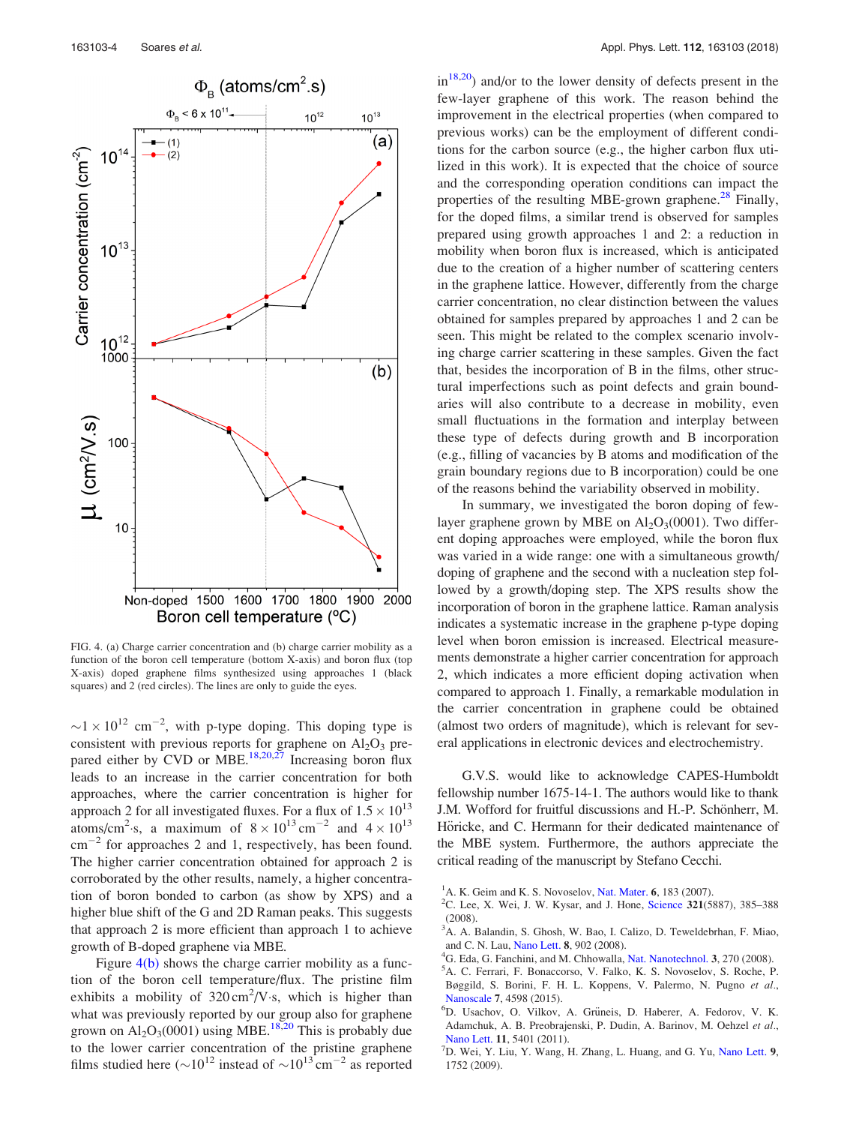<span id="page-4-0"></span>

FIG. 4. (a) Charge carrier concentration and (b) charge carrier mobility as a function of the boron cell temperature (bottom X-axis) and boron flux (top X-axis) doped graphene films synthesized using approaches 1 (black squares) and 2 (red circles). The lines are only to guide the eyes.

 $\sim$ 1  $\times$  10<sup>12</sup> cm<sup>-2</sup>, with p-type doping. This doping type is consistent with previous reports for graphene on  $Al_2O_3$  prepared either by CVD or MBE.<sup>18,20,27</sup> Increasing boron flux leads to an increase in the carrier concentration for both approaches, where the carrier concentration is higher for approach 2 for all investigated fluxes. For a flux of  $1.5 \times 10^{13}$ atoms/cm<sup>2</sup>·s, a maximum of  $8 \times 10^{13}$  cm<sup>-2</sup> and  $4 \times 10^{13}$  $\text{cm}^{-2}$  for approaches 2 and 1, respectively, has been found. The higher carrier concentration obtained for approach 2 is corroborated by the other results, namely, a higher concentration of boron bonded to carbon (as show by XPS) and a higher blue shift of the G and 2D Raman peaks. This suggests that approach 2 is more efficient than approach 1 to achieve growth of B-doped graphene via MBE.

Figure  $4(b)$  shows the charge carrier mobility as a function of the boron cell temperature/flux. The pristine film exhibits a mobility of  $320 \text{ cm}^2/\text{V}$  s, which is higher than what was previously reported by our group also for graphene grown on  $Al_2O_3(0001)$  using MBE.<sup>[18,20](#page-5-0)</sup> This is probably due to the lower carrier concentration of the pristine graphene films studied here ( $\sim 10^{12}$  instead of  $\sim 10^{13}$  cm<sup>-2</sup> as reported  $in^{18,20}$ ) and/or to the lower density of defects present in the few-layer graphene of this work. The reason behind the improvement in the electrical properties (when compared to previous works) can be the employment of different conditions for the carbon source (e.g., the higher carbon flux utilized in this work). It is expected that the choice of source and the corresponding operation conditions can impact the properties of the resulting MBE-grown graphene.<sup>[28](#page-5-0)</sup> Finally, for the doped films, a similar trend is observed for samples prepared using growth approaches 1 and 2: a reduction in mobility when boron flux is increased, which is anticipated due to the creation of a higher number of scattering centers in the graphene lattice. However, differently from the charge carrier concentration, no clear distinction between the values obtained for samples prepared by approaches 1 and 2 can be seen. This might be related to the complex scenario involving charge carrier scattering in these samples. Given the fact that, besides the incorporation of B in the films, other structural imperfections such as point defects and grain boundaries will also contribute to a decrease in mobility, even small fluctuations in the formation and interplay between these type of defects during growth and B incorporation (e.g., filling of vacancies by B atoms and modification of the grain boundary regions due to B incorporation) could be one of the reasons behind the variability observed in mobility.

In summary, we investigated the boron doping of fewlayer graphene grown by MBE on  $Al_2O_3(0001)$ . Two different doping approaches were employed, while the boron flux was varied in a wide range: one with a simultaneous growth/ doping of graphene and the second with a nucleation step followed by a growth/doping step. The XPS results show the incorporation of boron in the graphene lattice. Raman analysis indicates a systematic increase in the graphene p-type doping level when boron emission is increased. Electrical measurements demonstrate a higher carrier concentration for approach 2, which indicates a more efficient doping activation when compared to approach 1. Finally, a remarkable modulation in the carrier concentration in graphene could be obtained (almost two orders of magnitude), which is relevant for several applications in electronic devices and electrochemistry.

G.V.S. would like to acknowledge CAPES-Humboldt fellowship number 1675-14-1. The authors would like to thank J.M. Wofford for fruitful discussions and H.-P. Schönherr, M. Höricke, and C. Hermann for their dedicated maintenance of the MBE system. Furthermore, the authors appreciate the critical reading of the manuscript by Stefano Cecchi.

- <sup>1</sup>A. K. Geim and K. S. Novoselov, [Nat. Mater.](https://doi.org/10.1038/nmat1849) 6, 183 (2007).
- <sup>2</sup>C. Lee, X. Wei, J. W. Kysar, and J. Hone, [Science](https://doi.org/10.1126/science.1157996) 321(5887), 385–388 (2008).
- 3 A. A. Balandin, S. Ghosh, W. Bao, I. Calizo, D. Teweldebrhan, F. Miao, and C. N. Lau, [Nano Lett.](https://doi.org/10.1021/nl0731872) 8, 902 (2008).
- <sup>4</sup>G. Eda, G. Fanchini, and M. Chhowalla, [Nat. Nanotechnol.](https://doi.org/10.1038/nnano.2008.83) 3, 270 (2008).
- <sup>5</sup>A. C. Ferrari, F. Bonaccorso, V. Falko, K. S. Novoselov, S. Roche, P. Bøggild, S. Borini, F. H. L. Koppens, V. Palermo, N. Pugno et al., [Nanoscale](https://doi.org/10.1039/C4NR01600A) <sup>7</sup>, 4598 (2015). <sup>6</sup>
- <sup>6</sup>D. Usachov, O. Vilkov, A. Grüneis, D. Haberer, A. Fedorov, V. K. Adamchuk, A. B. Preobrajenski, P. Dudin, A. Barinov, M. Oehzel et al., [Nano Lett.](https://doi.org/10.1021/nl2031037) 11, 5401 (2011).
- $^{7}$ D. Wei, Y. Liu, Y. Wang, H. Zhang, L. Huang, and G. Yu, [Nano Lett.](https://doi.org/10.1021/nl803279t) 9, 1752 (2009).